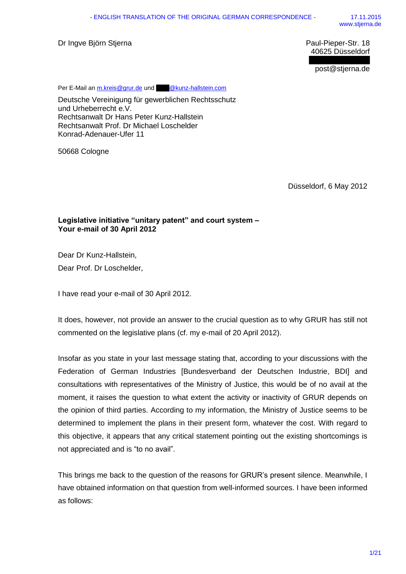Dr Ingve Björn Stjerna **Paul-Pieper-Str. 18** 

40625 Düsseldorf

post@stjerna.de

Per E-Mail an [m.kreis@grur.de](mailto:m.kreis@grur.de) un[d @kunz-hallstein.com](mailto:hpkh@kunz-hallstein.com)

Deutsche Vereinigung für gewerblichen Rechtsschutz und Urheberrecht e.V. Rechtsanwalt Dr Hans Peter Kunz-Hallstein Rechtsanwalt Prof. Dr Michael Loschelder Konrad-Adenauer-Ufer 11

50668 Cologne

Düsseldorf, 6 May 2012

## **Legislative initiative "unitary patent" and court system – Your e-mail of 30 April 2012**

Dear Dr Kunz-Hallstein, Dear Prof. Dr Loschelder,

I have read your e-mail of 30 April 2012.

It does, however, not provide an answer to the crucial question as to why GRUR has still not commented on the legislative plans (cf. my e-mail of 20 April 2012).

Insofar as you state in your last message stating that, according to your discussions with the Federation of German Industries [Bundesverband der Deutschen Industrie, BDI] and consultations with representatives of the Ministry of Justice, this would be of no avail at the moment, it raises the question to what extent the activity or inactivity of GRUR depends on the opinion of third parties. According to my information, the Ministry of Justice seems to be determined to implement the plans in their present form, whatever the cost. With regard to this objective, it appears that any critical statement pointing out the existing shortcomings is not appreciated and is "to no avail".

This brings me back to the question of the reasons for GRUR's present silence. Meanwhile, I have obtained information on that question from well-informed sources. I have been informed as follows: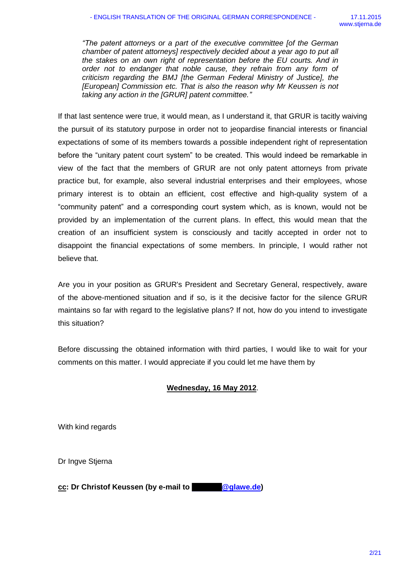*"The patent attorneys or a part of the executive committee [of the German chamber of patent attorneys] respectively decided about a year ago to put all the stakes on an own right of representation before the EU courts. And in order not to endanger that noble cause, they refrain from any form of criticism regarding the BMJ [the German Federal Ministry of Justice], the [European] Commission etc. That is also the reason why Mr Keussen is not taking any action in the [GRUR] patent committee."*

If that last sentence were true, it would mean, as I understand it, that GRUR is tacitly waiving the pursuit of its statutory purpose in order not to jeopardise financial interests or financial expectations of some of its members towards a possible independent right of representation before the "unitary patent court system" to be created. This would indeed be remarkable in view of the fact that the members of GRUR are not only patent attorneys from private practice but, for example, also several industrial enterprises and their employees, whose primary interest is to obtain an efficient, cost effective and high-quality system of a "community patent" and a corresponding court system which, as is known, would not be provided by an implementation of the current plans. In effect, this would mean that the creation of an insufficient system is consciously and tacitly accepted in order not to disappoint the financial expectations of some members. In principle, I would rather not believe that.

Are you in your position as GRUR's President and Secretary General, respectively, aware of the above-mentioned situation and if so, is it the decisive factor for the silence GRUR maintains so far with regard to the legislative plans? If not, how do you intend to investigate this situation?

Before discussing the obtained information with third parties, I would like to wait for your comments on this matter. I would appreciate if you could let me have them by

## **Wednesday, 16 May 2012**.

With kind regards

Dr Ingve Stjerna

**cc: Dr Christof Keussen (by e-mail to [@glawe.de\)](mailto:keussen@glawe.de)**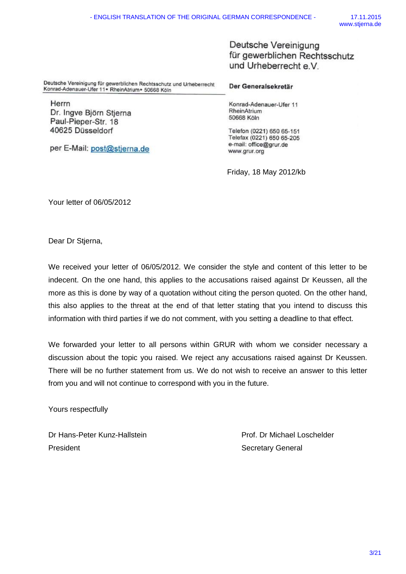Deutsche Vereinigung für gewerblichen Rechtsschutz und Urheberrecht e V

Deutsche Vereinigung für gewerblichen Rechtsschutz und Urheberrecht Konrad-Adenauer-Ufer 11. RheinAtrium + 50668 Köln

Herrn Dr. Ingve Björn Stjerna Paul-Pieper-Str. 18 40625 Düsseldorf

per E-Mail: post@stjerna.de

Der Generalsekretär

Konrad-Adenauer-Ufer 11 RheinAtrium 50668 Köln

Telefon (0221) 650 65-151 Telefax (0221) 650 65-205 e-mail: office@grur.de www.grur.org

Friday, 18 May 2012/kb

Your letter of 06/05/2012

Dear Dr Stjerna,

We received your letter of 06/05/2012. We consider the style and content of this letter to be indecent. On the one hand, this applies to the accusations raised against Dr Keussen, all the more as this is done by way of a quotation without citing the person quoted. On the other hand, this also applies to the threat at the end of that letter stating that you intend to discuss this information with third parties if we do not comment, with you setting a deadline to that effect.

We forwarded your letter to all persons within GRUR with whom we consider necessary a discussion about the topic you raised. We reject any accusations raised against Dr Keussen. There will be no further statement from us. We do not wish to receive an answer to this letter from you and will not continue to correspond with you in the future.

Yours respectfully

Dr Hans-Peter Kunz-Hallstein Prof. Dr Michael Loschelder President **Secretary General**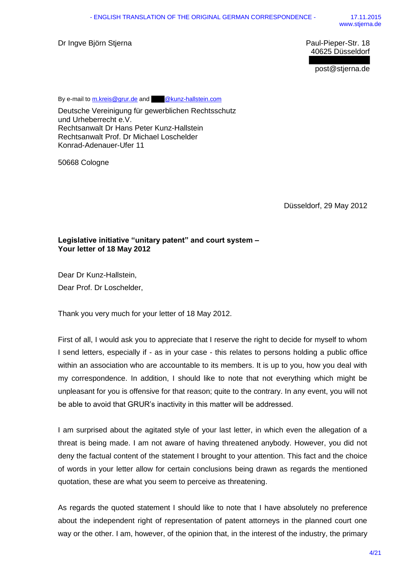Dr Ingve Björn Stjerna Paul-Pieper-Str. 18

40625 Düsseldorf

post@stjerna.de

By e-mail to [m.kreis@grur.de](mailto:m.kreis@grur.de) an[d @kunz-hallstein.com](mailto:hpkh@kunz-hallstein.com)

Deutsche Vereinigung für gewerblichen Rechtsschutz und Urheberrecht e.V. Rechtsanwalt Dr Hans Peter Kunz-Hallstein Rechtsanwalt Prof. Dr Michael Loschelder Konrad-Adenauer-Ufer 11

50668 Cologne

Düsseldorf, 29 May 2012

### **Legislative initiative "unitary patent" and court system – Your letter of 18 May 2012**

Dear Dr Kunz-Hallstein, Dear Prof. Dr Loschelder,

Thank you very much for your letter of 18 May 2012.

First of all, I would ask you to appreciate that I reserve the right to decide for myself to whom I send letters, especially if - as in your case - this relates to persons holding a public office within an association who are accountable to its members. It is up to you, how you deal with my correspondence. In addition, I should like to note that not everything which might be unpleasant for you is offensive for that reason; quite to the contrary. In any event, you will not be able to avoid that GRUR's inactivity in this matter will be addressed.

I am surprised about the agitated style of your last letter, in which even the allegation of a threat is being made. I am not aware of having threatened anybody. However, you did not deny the factual content of the statement I brought to your attention. This fact and the choice of words in your letter allow for certain conclusions being drawn as regards the mentioned quotation, these are what you seem to perceive as threatening.

As regards the quoted statement I should like to note that I have absolutely no preference about the independent right of representation of patent attorneys in the planned court one way or the other. I am, however, of the opinion that, in the interest of the industry, the primary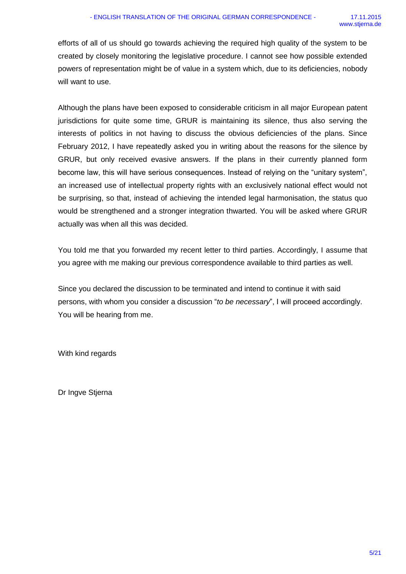efforts of all of us should go towards achieving the required high quality of the system to be created by closely monitoring the legislative procedure. I cannot see how possible extended powers of representation might be of value in a system which, due to its deficiencies, nobody will want to use.

Although the plans have been exposed to considerable criticism in all major European patent jurisdictions for quite some time, GRUR is maintaining its silence, thus also serving the interests of politics in not having to discuss the obvious deficiencies of the plans. Since February 2012, I have repeatedly asked you in writing about the reasons for the silence by GRUR, but only received evasive answers. If the plans in their currently planned form become law, this will have serious consequences. Instead of relying on the "unitary system", an increased use of intellectual property rights with an exclusively national effect would not be surprising, so that, instead of achieving the intended legal harmonisation, the status quo would be strengthened and a stronger integration thwarted. You will be asked where GRUR actually was when all this was decided.

You told me that you forwarded my recent letter to third parties. Accordingly, I assume that you agree with me making our previous correspondence available to third parties as well.

Since you declared the discussion to be terminated and intend to continue it with said persons, with whom you consider a discussion "*to be necessary*", I will proceed accordingly. You will be hearing from me.

With kind regards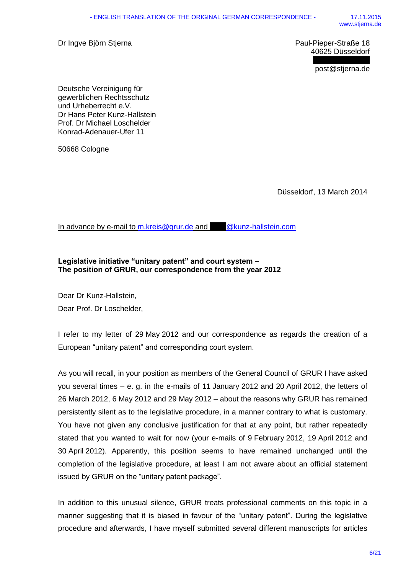Dr Ingve Björn Stjerna Paul-Pieper-Straße 18

40625 Düsseldorf

post@stjerna.de

Deutsche Vereinigung für gewerblichen Rechtsschutz und Urheberrecht e.V. Dr Hans Peter Kunz-Hallstein Prof. Dr Michael Loschelder Konrad-Adenauer-Ufer 11

50668 Cologne

Düsseldorf, 13 March 2014

In advance by e-mail to [m.kreis@grur.de](mailto:m.kreis@grur.de) and [@kunz-hallstein.com](mailto:hpkh@kunz-hallstein.com)

## **Legislative initiative "unitary patent" and court system – The position of GRUR, our correspondence from the year 2012**

Dear Dr Kunz-Hallstein, Dear Prof. Dr Loschelder,

I refer to my letter of 29 May 2012 and our correspondence as regards the creation of a European "unitary patent" and corresponding court system.

As you will recall, in your position as members of the General Council of GRUR I have asked you several times – e. g. in the e-mails of 11 January 2012 and 20 April 2012, the letters of 26 March 2012, 6 May 2012 and 29 May 2012 – about the reasons why GRUR has remained persistently silent as to the legislative procedure, in a manner contrary to what is customary. You have not given any conclusive justification for that at any point, but rather repeatedly stated that you wanted to wait for now (your e-mails of 9 February 2012, 19 April 2012 and 30 April 2012). Apparently, this position seems to have remained unchanged until the completion of the legislative procedure, at least I am not aware about an official statement issued by GRUR on the "unitary patent package".

In addition to this unusual silence, GRUR treats professional comments on this topic in a manner suggesting that it is biased in favour of the "unitary patent". During the legislative procedure and afterwards, I have myself submitted several different manuscripts for articles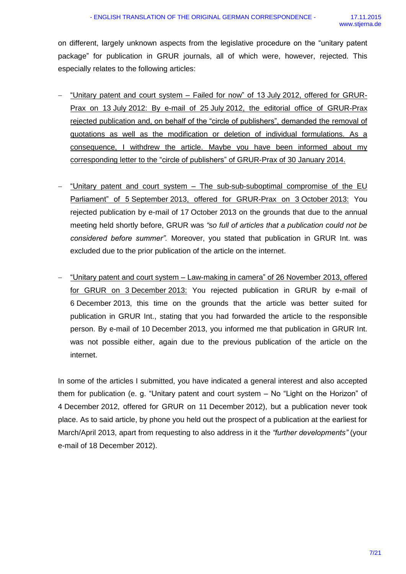on different, largely unknown aspects from the legislative procedure on the "unitary patent package" for publication in GRUR journals, all of which were, however, rejected. This especially relates to the following articles:

- "Unitary patent and court system Failed for now" of 13 July 2012, offered for GRUR-Prax on 13 July 2012: By e-mail of 25 July 2012, the editorial office of GRUR-Prax rejected publication and, on behalf of the "circle of publishers", demanded the removal of quotations as well as the modification or deletion of individual formulations. As a consequence, I withdrew the article. Maybe you have been informed about my corresponding letter to the "circle of publishers" of GRUR-Prax of 30 January 2014.
- "Unitary patent and court system The sub-sub-suboptimal compromise of the EU Parliament" of 5 September 2013, offered for GRUR-Prax on 3 October 2013: You rejected publication by e-mail of 17 October 2013 on the grounds that due to the annual meeting held shortly before, GRUR was *"so full of articles that a publication could not be considered before summer".* Moreover, you stated that publication in GRUR Int. was excluded due to the prior publication of the article on the internet.
- "Unitary patent and court system Law-making in camera" of 26 November 2013, offered for GRUR on 3 December 2013: You rejected publication in GRUR by e-mail of 6 December 2013, this time on the grounds that the article was better suited for publication in GRUR Int., stating that you had forwarded the article to the responsible person. By e-mail of 10 December 2013, you informed me that publication in GRUR Int. was not possible either, again due to the previous publication of the article on the internet.

In some of the articles I submitted, you have indicated a general interest and also accepted them for publication (e. g. "Unitary patent and court system – No "Light on the Horizon" of 4 December 2012, offered for GRUR on 11 December 2012), but a publication never took place. As to said article, by phone you held out the prospect of a publication at the earliest for March/April 2013, apart from requesting to also address in it the *"further developments"* (your e-mail of 18 December 2012).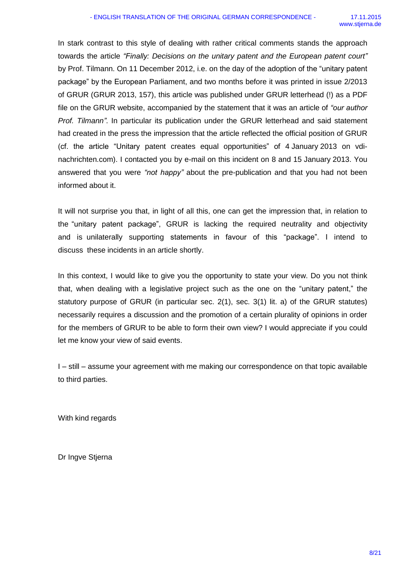In stark contrast to this style of dealing with rather critical comments stands the approach towards the article *"Finally: Decisions on the unitary patent and the European patent court"* by Prof. Tilmann. On 11 December 2012, i.e. on the day of the adoption of the "unitary patent package" by the European Parliament, and two months before it was printed in issue 2/2013 of GRUR (GRUR 2013, 157), this article was published under GRUR letterhead (!) as a PDF file on the GRUR website, accompanied by the statement that it was an article of *"our author Prof. Tilmann"*. In particular its publication under the GRUR letterhead and said statement had created in the press the impression that the article reflected the official position of GRUR (cf. the article "Unitary patent creates equal opportunities" of 4 January 2013 on vdinachrichten.com). I contacted you by e-mail on this incident on 8 and 15 January 2013. You answered that you were *"not happy"* about the pre-publication and that you had not been informed about it.

It will not surprise you that, in light of all this, one can get the impression that, in relation to the "unitary patent package", GRUR is lacking the required neutrality and objectivity and is unilaterally supporting statements in favour of this "package". I intend to discuss these incidents in an article shortly.

In this context, I would like to give you the opportunity to state your view. Do you not think that, when dealing with a legislative project such as the one on the "unitary patent," the statutory purpose of GRUR (in particular sec. 2(1), sec. 3(1) lit. a) of the GRUR statutes) necessarily requires a discussion and the promotion of a certain plurality of opinions in order for the members of GRUR to be able to form their own view? I would appreciate if you could let me know your view of said events.

I – still – assume your agreement with me making our correspondence on that topic available to third parties.

With kind regards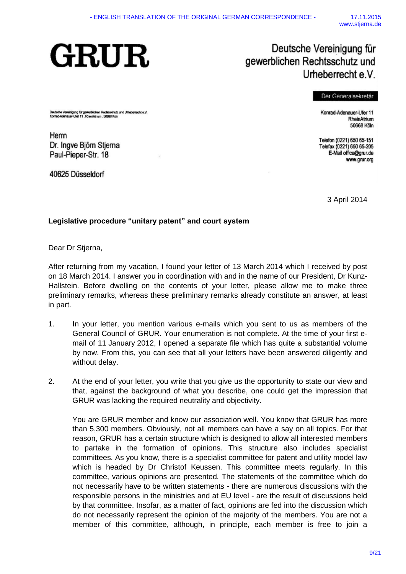

## Deutsche Vereinigung für gewerblichen Rechtsschutz und Urheberrecht e.V.

#### Der Generalsekretär

Deutsche Vereinigung für gewerklichen Rechtsschutz und Urteberrecht e.V.<br>Konred-Adeneuer-Uter 11. RheinAlrium . 50568 Köln

Herm Dr. Ingve Björn Stjerna Paul-Pieper-Str. 18

40625 Düsseldorf

Konrad-Adenauer-Ufer 11 RheinAtrium 50668 Köln

Telefon (0221) 650 65-151 Telefax (0221) 650 65-205 E-Mail office@grur.de www.grur.org

3 April 2014

## **Legislative procedure "unitary patent" and court system**

Dear Dr Stjerna,

After returning from my vacation, I found your letter of 13 March 2014 which I received by post on 18 March 2014. I answer you in coordination with and in the name of our President, Dr Kunz-Hallstein. Before dwelling on the contents of your letter, please allow me to make three preliminary remarks, whereas these preliminary remarks already constitute an answer, at least in part.

- 1. In your letter, you mention various e-mails which you sent to us as members of the General Council of GRUR. Your enumeration is not complete. At the time of your first email of 11 January 2012, I opened a separate file which has quite a substantial volume by now. From this, you can see that all your letters have been answered diligently and without delay.
- 2. At the end of your letter, you write that you give us the opportunity to state our view and that, against the background of what you describe, one could get the impression that GRUR was lacking the required neutrality and objectivity.

You are GRUR member and know our association well. You know that GRUR has more than 5,300 members. Obviously, not all members can have a say on all topics. For that reason, GRUR has a certain structure which is designed to allow all interested members to partake in the formation of opinions. This structure also includes specialist committees. As you know, there is a specialist committee for patent and utility model law which is headed by Dr Christof Keussen. This committee meets regularly. In this committee, various opinions are presented. The statements of the committee which do not necessarily have to be written statements - there are numerous discussions with the responsible persons in the ministries and at EU level - are the result of discussions held by that committee. Insofar, as a matter of fact, opinions are fed into the discussion which do not necessarily represent the opinion of the majority of the members. You are not a member of this committee, although, in principle, each member is free to join a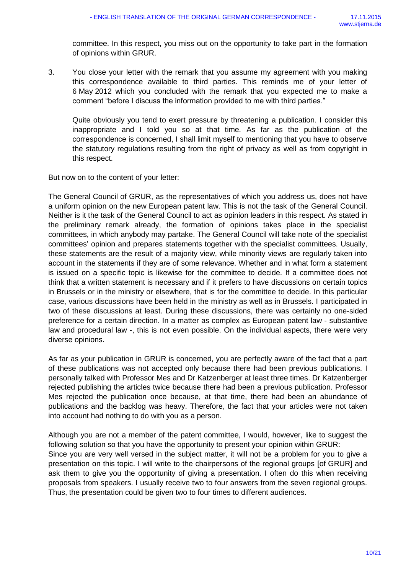committee. In this respect, you miss out on the opportunity to take part in the formation of opinions within GRUR.

3. You close your letter with the remark that you assume my agreement with you making this correspondence available to third parties. This reminds me of your letter of 6 May 2012 which you concluded with the remark that you expected me to make a comment "before I discuss the information provided to me with third parties."

Quite obviously you tend to exert pressure by threatening a publication. I consider this inappropriate and I told you so at that time. As far as the publication of the correspondence is concerned, I shall limit myself to mentioning that you have to observe the statutory regulations resulting from the right of privacy as well as from copyright in this respect.

But now on to the content of your letter:

The General Council of GRUR, as the representatives of which you address us, does not have a uniform opinion on the new European patent law. This is not the task of the General Council. Neither is it the task of the General Council to act as opinion leaders in this respect. As stated in the preliminary remark already, the formation of opinions takes place in the specialist committees, in which anybody may partake. The General Council will take note of the specialist committees' opinion and prepares statements together with the specialist committees. Usually, these statements are the result of a majority view, while minority views are regularly taken into account in the statements if they are of some relevance. Whether and in what form a statement is issued on a specific topic is likewise for the committee to decide. If a committee does not think that a written statement is necessary and if it prefers to have discussions on certain topics in Brussels or in the ministry or elsewhere, that is for the committee to decide. In this particular case, various discussions have been held in the ministry as well as in Brussels. I participated in two of these discussions at least. During these discussions, there was certainly no one-sided preference for a certain direction. In a matter as complex as European patent law - substantive law and procedural law -, this is not even possible. On the individual aspects, there were very diverse opinions.

As far as your publication in GRUR is concerned, you are perfectly aware of the fact that a part of these publications was not accepted only because there had been previous publications. I personally talked with Professor Mes and Dr Katzenberger at least three times. Dr Katzenberger rejected publishing the articles twice because there had been a previous publication. Professor Mes rejected the publication once because, at that time, there had been an abundance of publications and the backlog was heavy. Therefore, the fact that your articles were not taken into account had nothing to do with you as a person.

Although you are not a member of the patent committee, I would, however, like to suggest the following solution so that you have the opportunity to present your opinion within GRUR: Since you are very well versed in the subject matter, it will not be a problem for you to give a presentation on this topic. I will write to the chairpersons of the regional groups [of GRUR] and ask them to give you the opportunity of giving a presentation. I often do this when receiving proposals from speakers. I usually receive two to four answers from the seven regional groups. Thus, the presentation could be given two to four times to different audiences.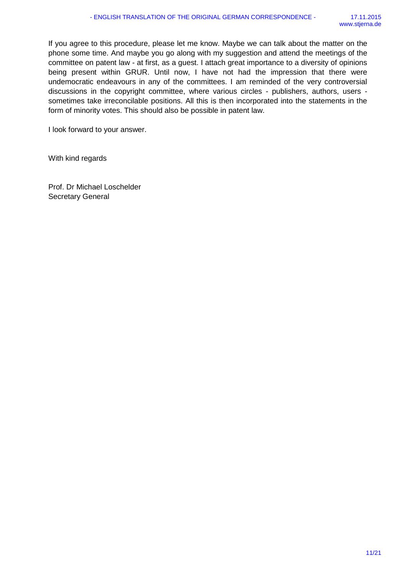If you agree to this procedure, please let me know. Maybe we can talk about the matter on the phone some time. And maybe you go along with my suggestion and attend the meetings of the committee on patent law - at first, as a guest. I attach great importance to a diversity of opinions being present within GRUR. Until now, I have not had the impression that there were undemocratic endeavours in any of the committees. I am reminded of the very controversial discussions in the copyright committee, where various circles - publishers, authors, users sometimes take irreconcilable positions. All this is then incorporated into the statements in the form of minority votes. This should also be possible in patent law.

I look forward to your answer.

With kind regards

Prof. Dr Michael Loschelder Secretary General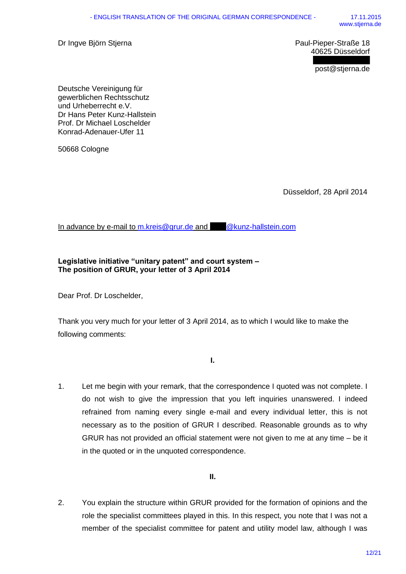Dr Ingve Björn Stjerna **Paul-Pieper-Straße 18** 

40625 Düsseldorf

post@stjerna.de

Deutsche Vereinigung für gewerblichen Rechtsschutz und Urheberrecht e.V. Dr Hans Peter Kunz-Hallstein Prof. Dr Michael Loschelder Konrad-Adenauer-Ufer 11

50668 Cologne

Düsseldorf, 28 April 2014

In advance by e-mail to [m.kreis@grur.de](mailto:m.kreis@grur.de) and [@kunz-hallstein.com](mailto:hpkh@kunz-hallstein.com)

## **Legislative initiative "unitary patent" and court system – The position of GRUR, your letter of 3 April 2014**

Dear Prof. Dr Loschelder,

Thank you very much for your letter of 3 April 2014, as to which I would like to make the following comments:

**I.**

1. Let me begin with your remark, that the correspondence I quoted was not complete. I do not wish to give the impression that you left inquiries unanswered. I indeed refrained from naming every single e-mail and every individual letter, this is not necessary as to the position of GRUR I described. Reasonable grounds as to why GRUR has not provided an official statement were not given to me at any time – be it in the quoted or in the unquoted correspondence.

**II.**

2. You explain the structure within GRUR provided for the formation of opinions and the role the specialist committees played in this. In this respect, you note that I was not a member of the specialist committee for patent and utility model law, although I was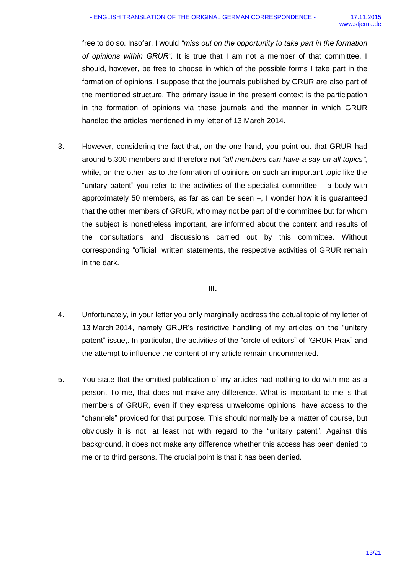free to do so. Insofar, I would *"miss out on the opportunity to take part in the formation of opinions within GRUR".* It is true that I am not a member of that committee. I should, however, be free to choose in which of the possible forms I take part in the formation of opinions. I suppose that the journals published by GRUR are also part of the mentioned structure. The primary issue in the present context is the participation in the formation of opinions via these journals and the manner in which GRUR handled the articles mentioned in my letter of 13 March 2014.

3. However, considering the fact that, on the one hand, you point out that GRUR had around 5,300 members and therefore not *"all members can have a say on all topics"*, while, on the other, as to the formation of opinions on such an important topic like the "unitary patent" you refer to the activities of the specialist committee – a body with approximately 50 members, as far as can be seen –, I wonder how it is guaranteed that the other members of GRUR, who may not be part of the committee but for whom the subject is nonetheless important, are informed about the content and results of the consultations and discussions carried out by this committee. Without corresponding "official" written statements, the respective activities of GRUR remain in the dark.

## **III.**

- 4. Unfortunately, in your letter you only marginally address the actual topic of my letter of 13 March 2014, namely GRUR's restrictive handling of my articles on the "unitary patent" issue,. In particular, the activities of the "circle of editors" of "GRUR-Prax" and the attempt to influence the content of my article remain uncommented.
- 5. You state that the omitted publication of my articles had nothing to do with me as a person. To me, that does not make any difference. What is important to me is that members of GRUR, even if they express unwelcome opinions, have access to the "channels" provided for that purpose. This should normally be a matter of course, but obviously it is not, at least not with regard to the "unitary patent". Against this background, it does not make any difference whether this access has been denied to me or to third persons. The crucial point is that it has been denied.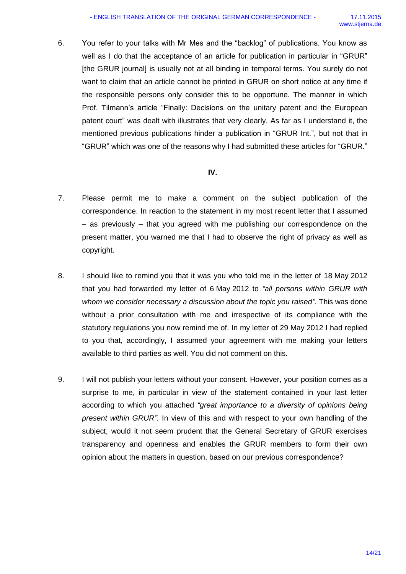6. You refer to your talks with Mr Mes and the "backlog" of publications. You know as well as I do that the acceptance of an article for publication in particular in "GRUR" [the GRUR journal] is usually not at all binding in temporal terms. You surely do not want to claim that an article cannot be printed in GRUR on short notice at any time if the responsible persons only consider this to be opportune. The manner in which Prof. Tilmann's article "Finally: Decisions on the unitary patent and the European patent court" was dealt with illustrates that very clearly. As far as I understand it, the mentioned previous publications hinder a publication in "GRUR Int.", but not that in "GRUR" which was one of the reasons why I had submitted these articles for "GRUR."

## **IV.**

- 7. Please permit me to make a comment on the subject publication of the correspondence. In reaction to the statement in my most recent letter that I assumed – as previously – that you agreed with me publishing our correspondence on the present matter, you warned me that I had to observe the right of privacy as well as copyright.
- 8. I should like to remind you that it was you who told me in the letter of 18 May 2012 that you had forwarded my letter of 6 May 2012 to *"all persons within GRUR with whom we consider necessary a discussion about the topic you raised".* This was done without a prior consultation with me and irrespective of its compliance with the statutory regulations you now remind me of. In my letter of 29 May 2012 I had replied to you that, accordingly, I assumed your agreement with me making your letters available to third parties as well. You did not comment on this.
- 9. I will not publish your letters without your consent. However, your position comes as a surprise to me, in particular in view of the statement contained in your last letter according to which you attached *"great importance to a diversity of opinions being present within GRUR".* In view of this and with respect to your own handling of the subject, would it not seem prudent that the General Secretary of GRUR exercises transparency and openness and enables the GRUR members to form their own opinion about the matters in question, based on our previous correspondence?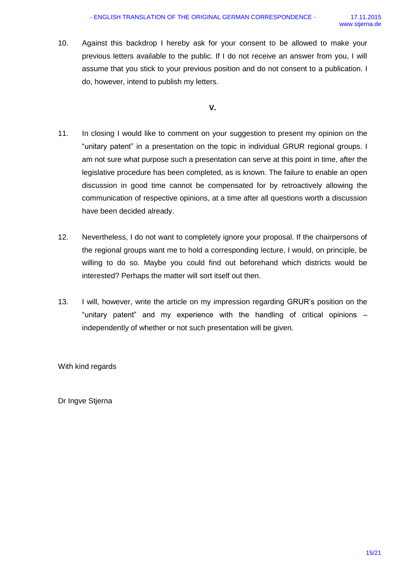10. Against this backdrop I hereby ask for your consent to be allowed to make your previous letters available to the public. If I do not receive an answer from you, I will assume that you stick to your previous position and do not consent to a publication. I do, however, intend to publish my letters.

**V.**

- 11. In closing I would like to comment on your suggestion to present my opinion on the "unitary patent" in a presentation on the topic in individual GRUR regional groups. I am not sure what purpose such a presentation can serve at this point in time, after the legislative procedure has been completed, as is known. The failure to enable an open discussion in good time cannot be compensated for by retroactively allowing the communication of respective opinions, at a time after all questions worth a discussion have been decided already.
- 12. Nevertheless, I do not want to completely ignore your proposal. If the chairpersons of the regional groups want me to hold a corresponding lecture, I would, on principle, be willing to do so. Maybe you could find out beforehand which districts would be interested? Perhaps the matter will sort itself out then.
- 13. I will, however, write the article on my impression regarding GRUR's position on the "unitary patent" and my experience with the handling of critical opinions – independently of whether or not such presentation will be given.

With kind regards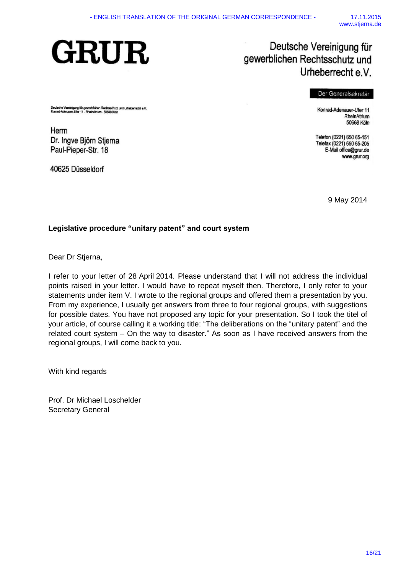# **GRUR**

## Deutsche Vereinigung für gewerblichen Rechtsschutz und Urheberrecht e.V.

#### Der Generalsekretär

Deutsche Vereinigung für gewerblichen Rochtsschutz und Urteberrecht e.V.<br>Konrad-Adenauer-Uter 11. RheinAtrium. 50688 Köln

Herrn Dr. Ingve Björn Stjerna Paul-Pieper-Str. 18

40625 Düsseldorf

Konrad-Adenauer-Ufer 11 RheinAtrium 50668 Köln

Telefon (0221) 650 65-151 Telefax (0221) 650 65-205 E-Mail office@grur.de www.grur.org

9 May 2014

## **Legislative procedure "unitary patent" and court system**

Dear Dr Stjerna,

I refer to your letter of 28 April 2014. Please understand that I will not address the individual points raised in your letter. I would have to repeat myself then. Therefore, I only refer to your statements under item V. I wrote to the regional groups and offered them a presentation by you. From my experience, I usually get answers from three to four regional groups, with suggestions for possible dates. You have not proposed any topic for your presentation. So I took the titel of your article, of course calling it a working title: "The deliberations on the "unitary patent" and the related court system – On the way to disaster." As soon as I have received answers from the regional groups, I will come back to you.

With kind regards

Prof. Dr Michael Loschelder Secretary General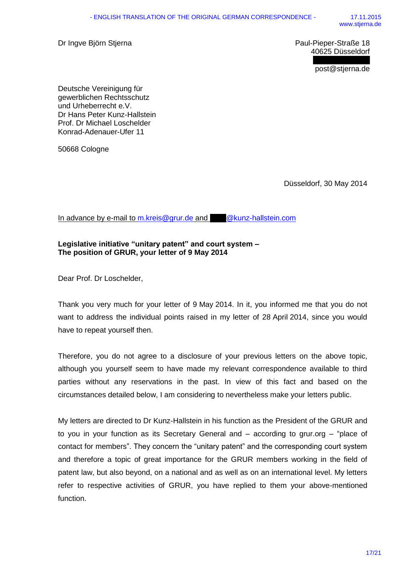Dr Ingve Björn Stjerna **Paul-Pieper-Straße 18** 

40625 Düsseldorf

post@stjerna.de

Deutsche Vereinigung für gewerblichen Rechtsschutz und Urheberrecht e.V. Dr Hans Peter Kunz-Hallstein Prof. Dr Michael Loschelder Konrad-Adenauer-Ufer 11

50668 Cologne

Düsseldorf, 30 May 2014

In advance by e-mail to [m.kreis@grur.de](mailto:m.kreis@grur.de) and [@kunz-hallstein.com](mailto:hpkh@kunz-hallstein.com)

## **Legislative initiative "unitary patent" and court system – The position of GRUR, your letter of 9 May 2014**

Dear Prof. Dr Loschelder,

Thank you very much for your letter of 9 May 2014. In it, you informed me that you do not want to address the individual points raised in my letter of 28 April 2014, since you would have to repeat yourself then.

Therefore, you do not agree to a disclosure of your previous letters on the above topic, although you yourself seem to have made my relevant correspondence available to third parties without any reservations in the past. In view of this fact and based on the circumstances detailed below, I am considering to nevertheless make your letters public.

My letters are directed to Dr Kunz-Hallstein in his function as the President of the GRUR and to you in your function as its Secretary General and – according to grur.org – "place of contact for members". They concern the "unitary patent" and the corresponding court system and therefore a topic of great importance for the GRUR members working in the field of patent law, but also beyond, on a national and as well as on an international level. My letters refer to respective activities of GRUR, you have replied to them your above-mentioned function.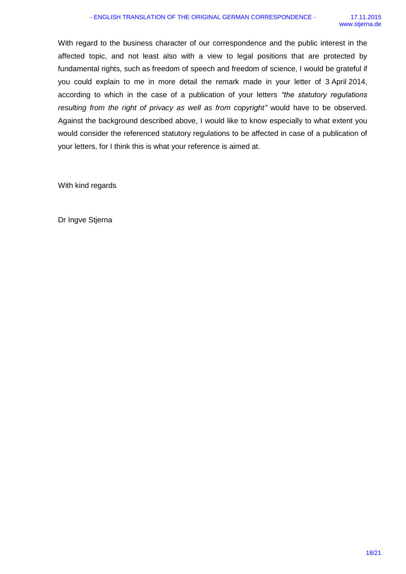With regard to the business character of our correspondence and the public interest in the affected topic, and not least also with a view to legal positions that are protected by fundamental rights, such as freedom of speech and freedom of science, I would be grateful if you could explain to me in more detail the remark made in your letter of 3 April 2014, according to which in the case of a publication of your letters *"the statutory regulations resulting from the right of privacy as well as from copyright"* would have to be observed. Against the background described above, I would like to know especially to what extent you would consider the referenced statutory regulations to be affected in case of a publication of your letters, for I think this is what your reference is aimed at.

With kind regards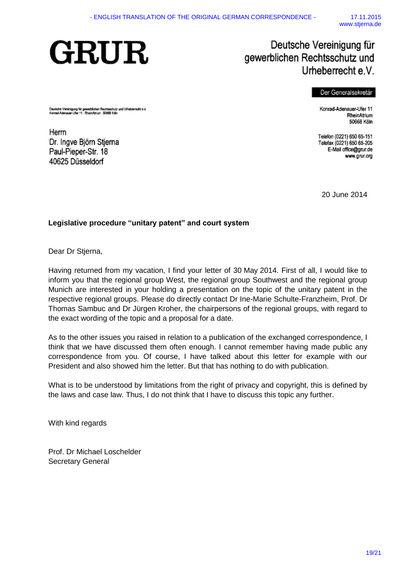## **GRUR**

Deutsche Vereinigung für gewerblichen Rechtsschutz und Urheberrecht e.V<br>Konrad-Adenauer-Ufer 11 . Rhein-Atrium . 50666 Köln

Dr. Ingve Björn Stjerna

Paul-Pieper-Str. 18

40625 Düsseldorf

## Deutsche Vereinigung für gewerblichen Rechtsschutz und Urheberrecht e.V.

### Der Generalsekretär

Konrad-Adenauer-Ufer 11 RheinAtrium 50668 Köln

Telefon (0221) 650 65-151 Telefax (0221) 650 65-205 E-Mail office@grur.de www.grur.org

20 June 2014

## **Legislative procedure "unitary patent" and court system**

Dear Dr Stjerna,

Herrn

Having returned from my vacation, I find your letter of 30 May 2014. First of all, I would like to inform you that the regional group West, the regional group Southwest and the regional group Munich are interested in your holding a presentation on the topic of the unitary patent in the respective regional groups. Please do directly contact Dr Ine-Marie Schulte-Franzheim, Prof. Dr Thomas Sambuc and Dr Jürgen Kroher, the chairpersons of the regional groups, with regard to the exact wording of the topic and a proposal for a date.

As to the other issues you raised in relation to a publication of the exchanged correspondence, I think that we have discussed them often enough. I cannot remember having made public any correspondence from you. Of course, I have talked about this letter for example with our President and also showed him the letter. But that has nothing to do with publication.

What is to be understood by limitations from the right of privacy and copyright, this is defined by the laws and case law. Thus, I do not think that I have to discuss this topic any further.

With kind regards

Prof. Dr Michael Loschelder Secretary General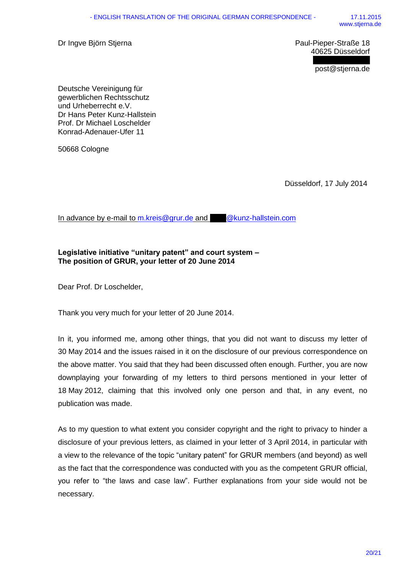Dr Ingve Björn Stjerna **Paul-Pieper-Straße 18** 

40625 Düsseldorf

post@stjerna.de

Deutsche Vereinigung für gewerblichen Rechtsschutz und Urheberrecht e.V. Dr Hans Peter Kunz-Hallstein Prof. Dr Michael Loschelder Konrad-Adenauer-Ufer 11

50668 Cologne

Düsseldorf, 17 July 2014

In advance by e-mail to [m.kreis@grur.de](mailto:m.kreis@grur.de) and [@kunz-hallstein.com](mailto:hpkh@kunz-hallstein.com)

## **Legislative initiative "unitary patent" and court system – The position of GRUR, your letter of 20 June 2014**

Dear Prof. Dr Loschelder,

Thank you very much for your letter of 20 June 2014.

In it, you informed me, among other things, that you did not want to discuss my letter of 30 May 2014 and the issues raised in it on the disclosure of our previous correspondence on the above matter. You said that they had been discussed often enough. Further, you are now downplaying your forwarding of my letters to third persons mentioned in your letter of 18 May 2012, claiming that this involved only one person and that, in any event, no publication was made.

As to my question to what extent you consider copyright and the right to privacy to hinder a disclosure of your previous letters, as claimed in your letter of 3 April 2014, in particular with a view to the relevance of the topic "unitary patent" for GRUR members (and beyond) as well as the fact that the correspondence was conducted with you as the competent GRUR official, you refer to "the laws and case law". Further explanations from your side would not be necessary.